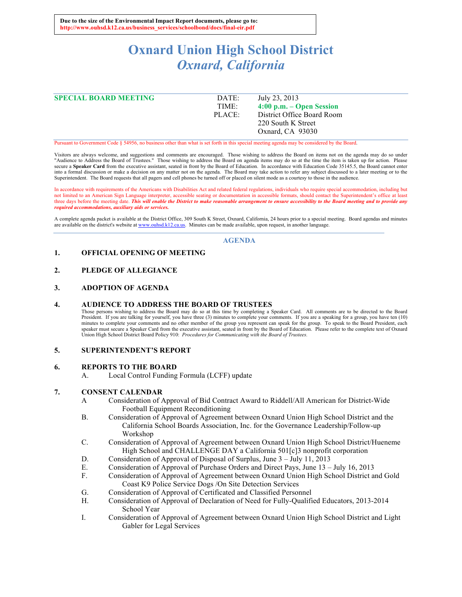# **Oxnard Union High School District** *Oxnard, California*

| DATE:  | July 23, 2013              |
|--------|----------------------------|
| TIME:  | $4:00$ p.m. – Open Session |
| PLACE: | District Office Board Room |
|        | 220 South K Street         |
|        | Oxnard, CA 93030           |
|        |                            |

Pursuant to Government Code § 54956, no business other than what is set forth in this special meeting agenda may be considered by the Board.

Visitors are always welcome, and suggestions and comments are encouraged. Those wishing to address the Board on items not on the agenda may do so under<br>"Audience to Address the Board of Trustees." Those wishing to address secure a Speaker Card from the executive assistant, seated in front by the Board of Education. In accordance with Education Code 35145.5, the Board cannot enter into a formal discussion or make a decision on any matter not on the agenda. The Board may take action to refer any subject discussed to a later meeting or to the Superintendent. The Board requests that all pagers and cell phones be turned off or placed on silent mode as a courtesy to those in the audience.

In accordance with requirements of the Americans with Disabilities Act and related federal regulations, individuals who require special accommodation, including but not limited to an American Sign Language interpreter, accessible seating or documentation in accessible formats, should contact the Superintendent's office at least<br>three days before the meeting date. This will enable the *required accommodations, auxiliary aids or services.*

A complete agenda packet is available at the District Office, 309 South K Street, Oxnard, California, 24 hours prior to a special meeting. Board agendas and minutes are available on the district's website at www.ouhsd.k12.ca.us. Minutes can be made available, upon request, in another language.

#### **AGENDA**

## **1. OFFICIAL OPENING OF MEETING**

## **2. PLEDGE OF ALLEGIANCE**

## **3. ADOPTION OF AGENDA**

#### **4. AUDIENCE TO ADDRESS THE BOARD OF TRUSTEES**

Those persons wishing to address the Board may do so at this time by completing a Speaker Card. All comments are to be directed to the Board President. If you are talking for yourself, you have three (3) minutes to complete your comments. If you are a speaking for a group, you have ten (10) minutes to complete your comments and no other member of the group you represent can speak for the group. To speak to the Board President, each speaker must secure a Speaker Card from the executive assistant, seated in front by the Board of Education. Please refer to the complete text of Oxnard Union High School District Board Policy 910: *Procedures for Communicating with the Board of Trustees.*

#### **5. SUPERINTENDENT'S REPORT**

#### **6. REPORTS TO THE BOARD**

A. Local Control Funding Formula (LCFF) update

#### **7. CONSENT CALENDAR**

- A Consideration of Approval of Bid Contract Award to Riddell/All American for District-Wide Football Equipment Reconditioning
- B. Consideration of Approval of Agreement between Oxnard Union High School District and the California School Boards Association, Inc. for the Governance Leadership/Follow-up Workshop
- C. Consideration of Approval of Agreement between Oxnard Union High School District/Hueneme High School and CHALLENGE DAY a California 501[c]3 nonprofit corporation
- D. Consideration of Approval of Disposal of Surplus, June 3 July 11, 2013
- E. Consideration of Approval of Purchase Orders and Direct Pays, June 13 July 16, 2013
- F. Consideration of Approval of Agreement between Oxnard Union High School District and Gold Coast K9 Police Service Dogs /On Site Detection Services
- G. Consideration of Approval of Certificated and Classified Personnel
- H. Consideration of Approval of Declaration of Need for Fully-Qualified Educators, 2013-2014 School Year
- I. Consideration of Approval of Agreement between Oxnard Union High School District and Light Gabler for Legal Services